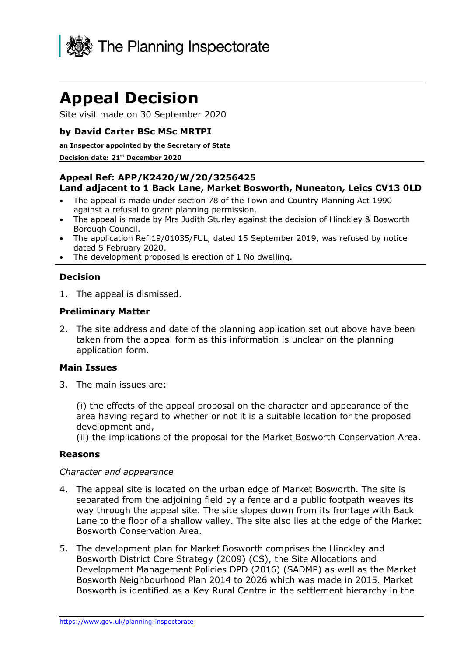

# **Appeal Decision**

Site visit made on 30 September 2020

### **by David Carter BSc MSc MRTPI**

#### **an Inspector appointed by the Secretary of State**

#### **Decision date: 21st December 2020**

#### **Appeal Ref: APP/K2420/W/20/3256425 Land adjacent to 1 Back Lane, Market Bosworth, Nuneaton, Leics CV13 0LD**

- The appeal is made under section 78 of the Town and Country Planning Act 1990 against a refusal to grant planning permission.
- The appeal is made by Mrs Judith Sturley against the decision of Hinckley & Bosworth Borough Council.
- The application Ref 19/01035/FUL, dated 15 September 2019, was refused by notice dated 5 February 2020.
- The development proposed is erection of 1 No dwelling.

#### **Decision**

1. The appeal is dismissed.

#### **Preliminary Matter**

2. The site address and date of the planning application set out above have been taken from the appeal form as this information is unclear on the planning application form.

#### **Main Issues**

3. The main issues are:

(i) the effects of the appeal proposal on the character and appearance of the area having regard to whether or not it is a suitable location for the proposed development and,

(ii) the implications of the proposal for the Market Bosworth Conservation Area.

#### **Reasons**

#### *Character and appearance*

- 4. The appeal site is located on the urban edge of Market Bosworth. The site is separated from the adjoining field by a fence and a public footpath weaves its way through the appeal site. The site slopes down from its frontage with Back Lane to the floor of a shallow valley. The site also lies at the edge of the Market Bosworth Conservation Area.
- 5. The development plan for Market Bosworth comprises the Hinckley and Bosworth District Core Strategy (2009) (CS), the Site Allocations and Development Management Policies DPD (2016) (SADMP) as well as the Market Bosworth Neighbourhood Plan 2014 to 2026 which was made in 2015. Market Bosworth is identified as a Key Rural Centre in the settlement hierarchy in the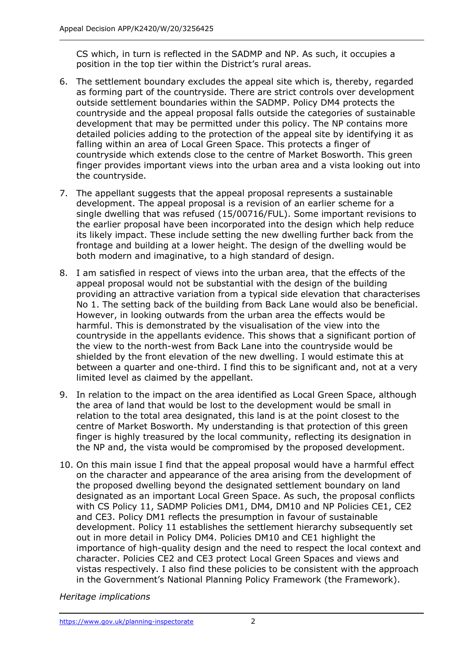CS which, in turn is reflected in the SADMP and NP. As such, it occupies a position in the top tier within the District's rural areas.

- 6. The settlement boundary excludes the appeal site which is, thereby, regarded as forming part of the countryside. There are strict controls over development outside settlement boundaries within the SADMP. Policy DM4 protects the countryside and the appeal proposal falls outside the categories of sustainable development that may be permitted under this policy. The NP contains more detailed policies adding to the protection of the appeal site by identifying it as falling within an area of Local Green Space. This protects a finger of countryside which extends close to the centre of Market Bosworth. This green finger provides important views into the urban area and a vista looking out into the countryside.
- 7. The appellant suggests that the appeal proposal represents a sustainable development. The appeal proposal is a revision of an earlier scheme for a single dwelling that was refused (15/00716/FUL). Some important revisions to the earlier proposal have been incorporated into the design which help reduce its likely impact. These include setting the new dwelling further back from the frontage and building at a lower height. The design of the dwelling would be both modern and imaginative, to a high standard of design.
- 8. I am satisfied in respect of views into the urban area, that the effects of the appeal proposal would not be substantial with the design of the building providing an attractive variation from a typical side elevation that characterises No 1. The setting back of the building from Back Lane would also be beneficial. However, in looking outwards from the urban area the effects would be harmful. This is demonstrated by the visualisation of the view into the countryside in the appellants evidence. This shows that a significant portion of the view to the north-west from Back Lane into the countryside would be shielded by the front elevation of the new dwelling. I would estimate this at between a quarter and one-third. I find this to be significant and, not at a very limited level as claimed by the appellant.
- 9. In relation to the impact on the area identified as Local Green Space, although the area of land that would be lost to the development would be small in relation to the total area designated, this land is at the point closest to the centre of Market Bosworth. My understanding is that protection of this green finger is highly treasured by the local community, reflecting its designation in the NP and, the vista would be compromised by the proposed development.
- 10. On this main issue I find that the appeal proposal would have a harmful effect on the character and appearance of the area arising from the development of the proposed dwelling beyond the designated settlement boundary on land designated as an important Local Green Space. As such, the proposal conflicts with CS Policy 11, SADMP Policies DM1, DM4, DM10 and NP Policies CE1, CE2 and CE3. Policy DM1 reflects the presumption in favour of sustainable development. Policy 11 establishes the settlement hierarchy subsequently set out in more detail in Policy DM4. Policies DM10 and CE1 highlight the importance of high-quality design and the need to respect the local context and character. Policies CE2 and CE3 protect Local Green Spaces and views and vistas respectively. I also find these policies to be consistent with the approach in the Government's National Planning Policy Framework (the Framework).

*Heritage implications*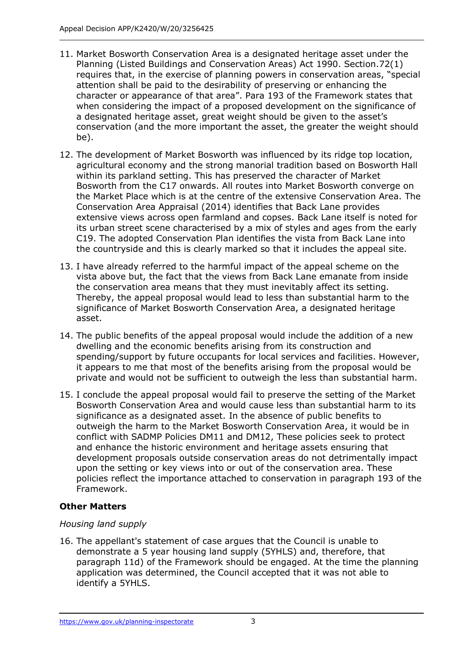- 11. Market Bosworth Conservation Area is a designated heritage asset under the Planning (Listed Buildings and Conservation Areas) Act 1990. Section.72(1) requires that, in the exercise of planning powers in conservation areas, "special attention shall be paid to the desirability of preserving or enhancing the character or appearance of that area". Para 193 of the Framework states that when considering the impact of a proposed development on the significance of a designated heritage asset, great weight should be given to the asset's conservation (and the more important the asset, the greater the weight should be).
- 12. The development of Market Bosworth was influenced by its ridge top location, agricultural economy and the strong manorial tradition based on Bosworth Hall within its parkland setting. This has preserved the character of Market Bosworth from the C17 onwards. All routes into Market Bosworth converge on the Market Place which is at the centre of the extensive Conservation Area. The Conservation Area Appraisal (2014) identifies that Back Lane provides extensive views across open farmland and copses. Back Lane itself is noted for its urban street scene characterised by a mix of styles and ages from the early C19. The adopted Conservation Plan identifies the vista from Back Lane into the countryside and this is clearly marked so that it includes the appeal site.
- 13. I have already referred to the harmful impact of the appeal scheme on the vista above but, the fact that the views from Back Lane emanate from inside the conservation area means that they must inevitably affect its setting. Thereby, the appeal proposal would lead to less than substantial harm to the significance of Market Bosworth Conservation Area, a designated heritage asset.
- 14. The public benefits of the appeal proposal would include the addition of a new dwelling and the economic benefits arising from its construction and spending/support by future occupants for local services and facilities. However, it appears to me that most of the benefits arising from the proposal would be private and would not be sufficient to outweigh the less than substantial harm.
- 15. I conclude the appeal proposal would fail to preserve the setting of the Market Bosworth Conservation Area and would cause less than substantial harm to its significance as a designated asset. In the absence of public benefits to outweigh the harm to the Market Bosworth Conservation Area, it would be in conflict with SADMP Policies DM11 and DM12, These policies seek to protect and enhance the historic environment and heritage assets ensuring that development proposals outside conservation areas do not detrimentally impact upon the setting or key views into or out of the conservation area. These policies reflect the importance attached to conservation in paragraph 193 of the Framework.

# **Other Matters**

# *Housing land supply*

16. The appellant's statement of case argues that the Council is unable to demonstrate a 5 year housing land supply (5YHLS) and, therefore, that paragraph 11d) of the Framework should be engaged. At the time the planning application was determined, the Council accepted that it was not able to identify a 5YHLS.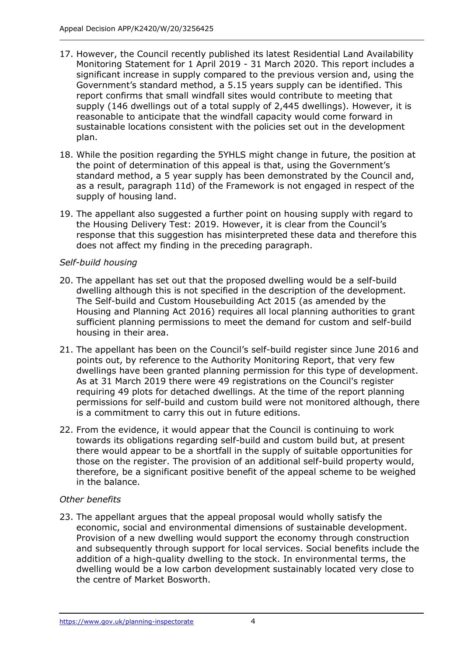- 17. However, the Council recently published its latest Residential Land Availability Monitoring Statement for 1 April 2019 - 31 March 2020. This report includes a significant increase in supply compared to the previous version and, using the Government's standard method, a 5.15 years supply can be identified. This report confirms that small windfall sites would contribute to meeting that supply (146 dwellings out of a total supply of 2,445 dwellings). However, it is reasonable to anticipate that the windfall capacity would come forward in sustainable locations consistent with the policies set out in the development plan.
- 18. While the position regarding the 5YHLS might change in future, the position at the point of determination of this appeal is that, using the Government's standard method, a 5 year supply has been demonstrated by the Council and, as a result, paragraph 11d) of the Framework is not engaged in respect of the supply of housing land.
- 19. The appellant also suggested a further point on housing supply with regard to the Housing Delivery Test: 2019. However, it is clear from the Council's response that this suggestion has misinterpreted these data and therefore this does not affect my finding in the preceding paragraph.

# *Self-build housing*

- 20. The appellant has set out that the proposed dwelling would be a self-build dwelling although this is not specified in the description of the development. The Self-build and Custom Housebuilding Act 2015 (as amended by the Housing and Planning Act 2016) requires all local planning authorities to grant sufficient planning permissions to meet the demand for custom and self-build housing in their area.
- 21. The appellant has been on the Council's self-build register since June 2016 and points out, by reference to the Authority Monitoring Report, that very few dwellings have been granted planning permission for this type of development. As at 31 March 2019 there were 49 registrations on the Council's register requiring 49 plots for detached dwellings. At the time of the report planning permissions for self-build and custom build were not monitored although, there is a commitment to carry this out in future editions.
- 22. From the evidence, it would appear that the Council is continuing to work towards its obligations regarding self-build and custom build but, at present there would appear to be a shortfall in the supply of suitable opportunities for those on the register. The provision of an additional self-build property would, therefore, be a significant positive benefit of the appeal scheme to be weighed in the balance.

#### *Other benefits*

23. The appellant argues that the appeal proposal would wholly satisfy the economic, social and environmental dimensions of sustainable development. Provision of a new dwelling would support the economy through construction and subsequently through support for local services. Social benefits include the addition of a high-quality dwelling to the stock. In environmental terms, the dwelling would be a low carbon development sustainably located very close to the centre of Market Bosworth.